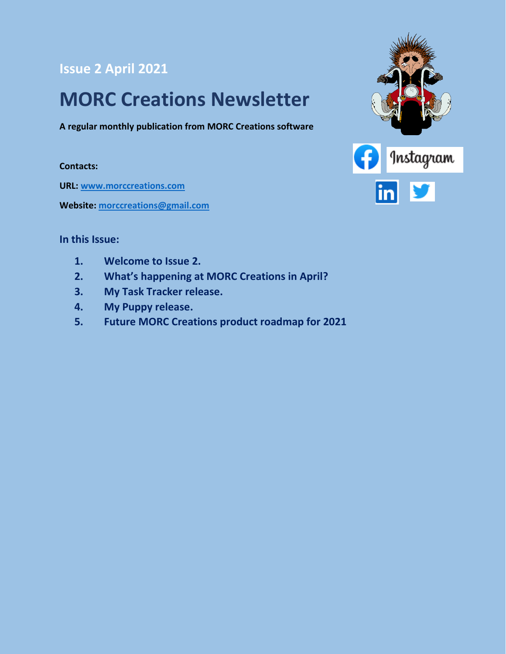#### **Issue 2 April 2021**

### **MORC Creations Newsletter**

**A regular monthly publication from MORC Creations software**

#### **Contacts:**

**URL: [www.morccreations.com](http://www.morccreations.com/)**

**Website: [morccreations@gmail.com](mailto:morccreations@gmail.com)**



#### **In this Issue:**

- **1. Welcome to Issue 2.**
- **2. What's happening at MORC Creations in April?**
- **3. My Task Tracker release.**
- **4. My Puppy release.**
- **5. Future MORC Creations product roadmap for 2021**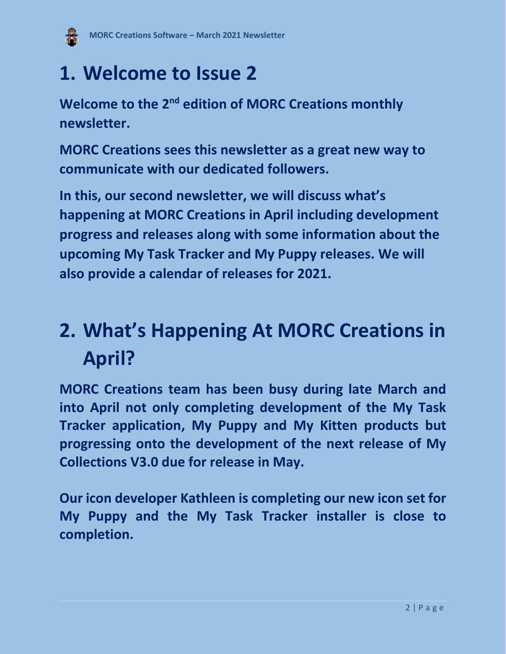

## **1. Welcome to Issue 2**

**Welcome to the 2<sup>nd</sup> edition of MORC Creations monthly newsletter.**

**MORC Creations sees this newsletter as a great new way to communicate with our dedicated followers.** 

**In this, our second newsletter, we will discuss what's happening at MORC Creations in April including development progress and releases along with some information about the upcoming My Task Tracker and My Puppy releases. We will also provide a calendar of releases for 2021.**

# **2. What's Happening At MORC Creations in April?**

**MORC Creations team has been busy during late March and into April not only completing development of the My Task Tracker application, My Puppy and My Kitten products but progressing onto the development of the next release of My Collections V3.0 due for release in May.**

**Our icon developer Kathleen is completing our new icon set for My Puppy and the My Task Tracker installer is close to completion.**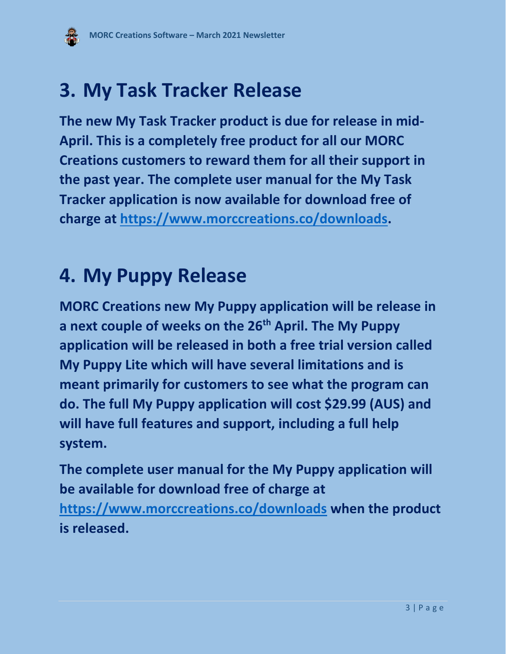## **3. My Task Tracker Release**

**The new My Task Tracker product is due for release in mid-April. This is a completely free product for all our MORC Creations customers to reward them for all their support in the past year. The complete user manual for the My Task Tracker application is now available for download free of charge at [https://www.morccreations.co/downloads.](https://www.morccreations.co/downloads)**

### **4. My Puppy Release**

**MORC Creations new My Puppy application will be release in a next couple of weeks on the 26th April. The My Puppy application will be released in both a free trial version called My Puppy Lite which will have several limitations and is meant primarily for customers to see what the program can do. The full My Puppy application will cost \$29.99 (AUS) and will have full features and support, including a full help system.** 

**The complete user manual for the My Puppy application will be available for download free of charge at <https://www.morccreations.co/downloads> when the product is released.**